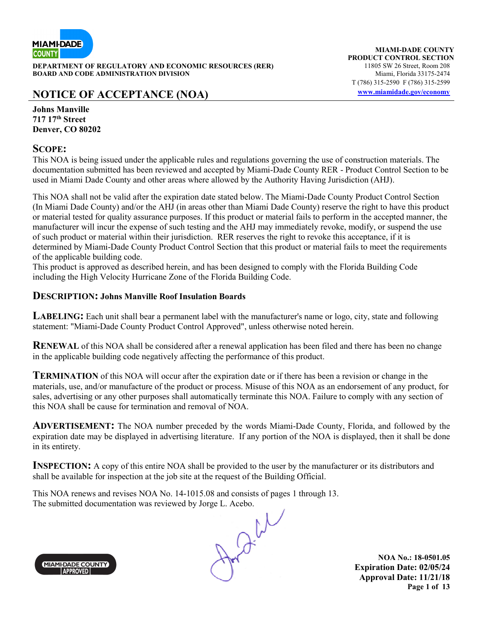

**DEPARTMENT OF REGULATORY AND ECONOMIC RESOURCES (RER)** 11805 SW 26 Street, Room 208<br>**BOARD AND CODE ADMINISTRATION DIVISION** 11805 SW 11805 SW 26 Street, Room 208 **BOARD AND CODE ADMINISTRATION DIVISION** 

### **NOTICE OF ACCEPTANCE (NOA) www.miamidade.gov/economy**

**Johns Manville 717 17th Street Denver, CO 80202** 

#### **SCOPE:**

This NOA is being issued under the applicable rules and regulations governing the use of construction materials. The documentation submitted has been reviewed and accepted by Miami-Dade County RER - Product Control Section to be used in Miami Dade County and other areas where allowed by the Authority Having Jurisdiction (AHJ).

This NOA shall not be valid after the expiration date stated below. The Miami-Dade County Product Control Section (In Miami Dade County) and/or the AHJ (in areas other than Miami Dade County) reserve the right to have this product or material tested for quality assurance purposes. If this product or material fails to perform in the accepted manner, the manufacturer will incur the expense of such testing and the AHJ may immediately revoke, modify, or suspend the use of such product or material within their jurisdiction. RER reserves the right to revoke this acceptance, if it is determined by Miami-Dade County Product Control Section that this product or material fails to meet the requirements of the applicable building code.

This product is approved as described herein, and has been designed to comply with the Florida Building Code including the High Velocity Hurricane Zone of the Florida Building Code.

#### **DESCRIPTION: Johns Manville Roof Insulation Boards**

**LABELING:** Each unit shall bear a permanent label with the manufacturer's name or logo, city, state and following statement: "Miami-Dade County Product Control Approved", unless otherwise noted herein.

**RENEWAL** of this NOA shall be considered after a renewal application has been filed and there has been no change in the applicable building code negatively affecting the performance of this product.

**TERMINATION** of this NOA will occur after the expiration date or if there has been a revision or change in the materials, use, and/or manufacture of the product or process. Misuse of this NOA as an endorsement of any product, for sales, advertising or any other purposes shall automatically terminate this NOA. Failure to comply with any section of this NOA shall be cause for termination and removal of NOA.

**ADVERTISEMENT:** The NOA number preceded by the words Miami-Dade County, Florida, and followed by the expiration date may be displayed in advertising literature. If any portion of the NOA is displayed, then it shall be done in its entirety.

**INSPECTION:** A copy of this entire NOA shall be provided to the user by the manufacturer or its distributors and shall be available for inspection at the job site at the request of the Building Official.

This NOA renews and revises NOA No. 14-1015.08 and consists of pages 1 through 13. The submitted documentation was reviewed by Jorge L. Acebo.



**NOA No.: 18-0501.05 Expiration Date: 02/05/24 Approval Date: 11/21/18 Page 1 of 13**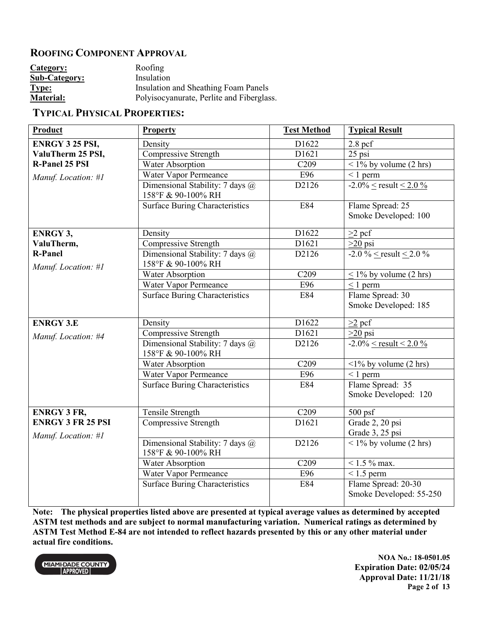#### **ROOFING COMPONENT APPROVAL**

| Category:            | Roofing                                   |
|----------------------|-------------------------------------------|
| <b>Sub-Category:</b> | Insulation                                |
| <b>Type:</b>         | Insulation and Sheathing Foam Panels      |
| <b>Material:</b>     | Polyisocyanurate, Perlite and Fiberglass. |

#### **TYPICAL PHYSICAL PROPERTIES:**

| Product                                         | <b>Property</b>                                       | <b>Test Method</b> | <b>Typical Result</b>                          |
|-------------------------------------------------|-------------------------------------------------------|--------------------|------------------------------------------------|
| <b>ENRGY 3 25 PSI,</b>                          | Density                                               | D1622              | $2.8$ pcf                                      |
| ValuTherm 25 PSI,                               | Compressive Strength                                  | D1621              | $25$ psi                                       |
| <b>R-Panel 25 PSI</b>                           | Water Absorption                                      | C <sub>209</sub>   | $\frac{1}{6}$ by volume (2 hrs)                |
| Manuf. Location: #1                             | Water Vapor Permeance                                 | E96                | $\leq 1$ perm                                  |
|                                                 | Dimensional Stability: 7 days @<br>158°F & 90-100% RH | D2126              | $-2.0\% <$ result < 2.0 %                      |
|                                                 | <b>Surface Buring Characteristics</b>                 | E84                | Flame Spread: 25<br>Smoke Developed: 100       |
| <b>ENRGY 3,</b>                                 | Density                                               | D1622              | $>2$ pcf                                       |
| ValuTherm,                                      | <b>Compressive Strength</b>                           | D <sub>1621</sub>  | $>20$ psi                                      |
| <b>R-Panel</b><br>Manuf. Location: #1           | Dimensional Stability: 7 days @<br>158°F & 90-100% RH | D2126              | $-2.0\% <$ result < 2.0 %                      |
|                                                 | Water Absorption                                      | C <sub>209</sub>   | $\leq$ 1% by volume (2 hrs)                    |
|                                                 | Water Vapor Permeance                                 | E96                | $\leq 1$ perm                                  |
|                                                 | <b>Surface Buring Characteristics</b>                 | E84                | Flame Spread: 30<br>Smoke Developed: 185       |
| <b>ENRGY 3.E</b>                                | Density                                               | D1622              | $\geq$ 2 pcf                                   |
| Manuf. Location: #4                             | Compressive Strength                                  | D1621              | $\geq 20$ psi                                  |
|                                                 | Dimensional Stability: 7 days @<br>158°F & 90-100% RH | D2126              | $-2.0\% <$ result < 2.0 %                      |
|                                                 | Water Absorption                                      | C <sub>209</sub>   | $\langle 1\%$ by volume (2 hrs)                |
|                                                 | Water Vapor Permeance                                 | E96                | $< 1$ perm                                     |
|                                                 | <b>Surface Buring Characteristics</b>                 | E84                | Flame Spread: 35<br>Smoke Developed: 120       |
| <b>ENRGY 3 FR,</b>                              | Tensile Strength                                      | C <sub>209</sub>   | 500 psf                                        |
| <b>ENRGY 3 FR 25 PSI</b><br>Manuf. Location: #1 | Compressive Strength                                  | D1621              | Grade 2, 20 psi<br>Grade 3, 25 psi             |
|                                                 | Dimensional Stability: 7 days @<br>158°F & 90-100% RH | D2126              | $1\%$ by volume (2 hrs)                        |
|                                                 | Water Absorption                                      | C <sub>209</sub>   | $1.5\%$ max.                                   |
|                                                 | Water Vapor Permeance                                 | E96                | $< 1.5$ perm                                   |
|                                                 | <b>Surface Buring Characteristics</b>                 | E84                | Flame Spread: 20-30<br>Smoke Developed: 55-250 |

**Note: The physical properties listed above are presented at typical average values as determined by accepted ASTM test methods and are subject to normal manufacturing variation. Numerical ratings as determined by ASTM Test Method E-84 are not intended to reflect hazards presented by this or any other material under actual fire conditions.**



**NOA No.: 18-0501.05 Expiration Date: 02/05/24 Approval Date: 11/21/18 Page 2 of 13**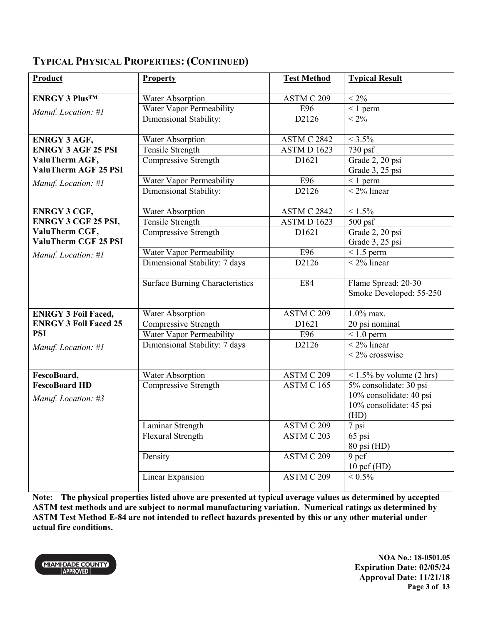| Product                      | <b>Property</b>                        | <b>Test Method</b>             | <b>Typical Result</b>                          |
|------------------------------|----------------------------------------|--------------------------------|------------------------------------------------|
| <b>ENRGY 3 Plus™</b>         | Water Absorption                       | ASTM C 209                     | $< 2\%$                                        |
|                              | Water Vapor Permeability               | E96                            | $\overline{1}$ perm                            |
| Manuf. Location: #1          | Dimensional Stability:                 | D2126                          | $< 2\%$                                        |
|                              |                                        |                                |                                                |
| <b>ENRGY 3 AGF,</b>          | Water Absorption                       | ASTM C 2842                    | $< 3.5\%$                                      |
| <b>ENRGY 3 AGF 25 PSI</b>    | Tensile Strength                       | <b>ASTM D 1623</b>             | 730 psf                                        |
| ValuTherm AGF,               | Compressive Strength                   | D1621                          | Grade 2, 20 psi                                |
| <b>ValuTherm AGF 25 PSI</b>  |                                        |                                | Grade 3, 25 psi                                |
| Manuf. Location: #1          | Water Vapor Permeability               | E96                            | $\leq 1$ perm                                  |
|                              | Dimensional Stability:                 | D2126                          | $\frac{1}{2\%}$ linear                         |
|                              |                                        |                                |                                                |
| <b>ENRGY 3 CGF,</b>          | Water Absorption                       | ASTM C 2842                    | $< 1.5\%$                                      |
| <b>ENRGY 3 CGF 25 PSI,</b>   | Tensile Strength                       | ASTM D 1623                    | $500 \,\mathrm{psf}$                           |
| ValuTherm CGF,               | Compressive Strength                   | D1621                          | Grade 2, 20 psi                                |
| ValuTherm CGF 25 PSI         |                                        |                                | Grade 3, 25 psi                                |
| Manuf. Location: #1          | Water Vapor Permeability               | E96                            | $< 1.5$ perm                                   |
|                              | Dimensional Stability: 7 days          | D2126                          | $\sqrt{2\%}$ linear                            |
|                              | <b>Surface Burning Characteristics</b> | E84                            | Flame Spread: 20-30<br>Smoke Developed: 55-250 |
| <b>ENRGY 3 Foil Faced,</b>   | Water Absorption                       | ASTM C 209                     | $1.0\%$ max.                                   |
| <b>ENRGY 3 Foil Faced 25</b> | Compressive Strength                   | D <sub>1621</sub>              | 20 psi nominal                                 |
| <b>PSI</b>                   | Water Vapor Permeability               | E96                            | $< 1.0$ perm                                   |
| Manuf. Location: #1          | Dimensional Stability: 7 days          | D2126                          | $\frac{1}{2\%}$ linear                         |
|                              |                                        |                                | $<$ 2% crosswise                               |
| FescoBoard,                  | Water Absorption                       | $\overline{\text{ASTM}}$ C 209 | $< 1.5\%$ by volume (2 hrs)                    |
| <b>FescoBoard HD</b>         | Compressive Strength                   | ASTM C 165                     | 5% consolidate: 30 psi                         |
| Manuf. Location: #3          |                                        |                                | 10% consolidate: 40 psi                        |
|                              |                                        |                                | 10% consolidate: 45 psi                        |
|                              |                                        |                                | (HD)                                           |
|                              | Laminar Strength                       | ASTM C 209                     | 7 psi                                          |
|                              | Flexural Strength                      | ASTM C 203                     | 65 psi                                         |
|                              |                                        |                                | 80 psi (HD)                                    |
|                              | Density                                | ASTM C 209                     | 9 pcf                                          |
|                              |                                        |                                | $10$ pcf (HD)                                  |
|                              | Linear Expansion                       | ASTM C 209                     | $< 0.5\%$                                      |

**Note: The physical properties listed above are presented at typical average values as determined by accepted ASTM test methods and are subject to normal manufacturing variation. Numerical ratings as determined by ASTM Test Method E-84 are not intended to reflect hazards presented by this or any other material under actual fire conditions.**



**NOA No.: 18-0501.05 Expiration Date: 02/05/24 Approval Date: 11/21/18 Page 3 of 13**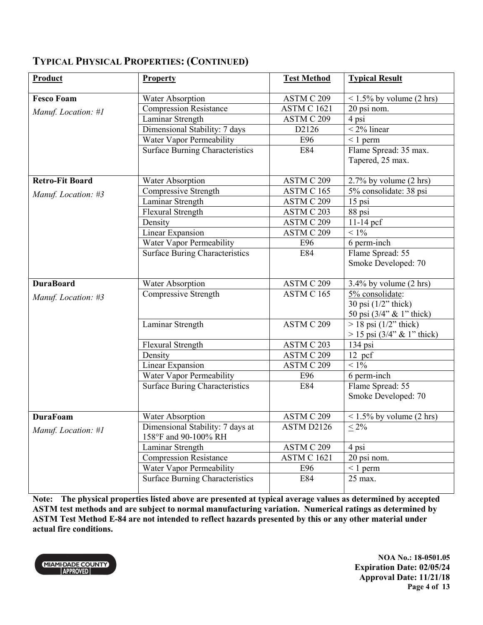| Product                | <b>Property</b>                                          | <b>Test Method</b> | <b>Typical Result</b>                                   |
|------------------------|----------------------------------------------------------|--------------------|---------------------------------------------------------|
| <b>Fesco Foam</b>      | Water Absorption                                         | ASTM C 209         | $< 1.5\%$ by volume (2 hrs)                             |
| Manuf. Location: #1    | <b>Compression Resistance</b>                            | <b>ASTM C 1621</b> | 20 psi nom.                                             |
|                        | Laminar Strength                                         | ASTM C 209         | 4 psi                                                   |
|                        | Dimensional Stability: 7 days                            | D2126              | $<$ 2% linear                                           |
|                        | Water Vapor Permeability                                 | E96                | $\leq 1$ perm                                           |
|                        | <b>Surface Burning Characteristics</b>                   | E84                | Flame Spread: 35 max.                                   |
|                        |                                                          |                    | Tapered, 25 max.                                        |
| <b>Retro-Fit Board</b> | Water Absorption                                         | ASTM C 209         | $2.7\%$ by volume $(2 \text{ hrs})$                     |
| Manuf. Location: #3    | Compressive Strength                                     | ASTM C 165         | 5% consolidate: 38 psi                                  |
|                        | Laminar Strength                                         | ASTM C 209         | 15 psi                                                  |
|                        | Flexural Strength                                        | ASTM C 203         | 88 psi                                                  |
|                        | Density                                                  | ASTM C 209         | $11-14$ pcf                                             |
|                        | Linear Expansion                                         | ASTM C 209         | $< 1\%$                                                 |
|                        | Water Vapor Permeability                                 | E96                | 6 perm-inch                                             |
|                        | <b>Surface Buring Characteristics</b>                    | E84                | Flame Spread: 55<br>Smoke Developed: 70                 |
| <b>DuraBoard</b>       | Water Absorption                                         | ASTM C 209         | $3.4\%$ by volume (2 hrs)                               |
| Manuf. Location: #3    | Compressive Strength                                     | ASTM C 165         | 5% consolidate:                                         |
|                        |                                                          |                    | 30 psi $(1/2$ " thick)<br>50 psi (3/4" & 1" thick)      |
|                        | Laminar Strength                                         | ASTM C 209         | $>$ 18 psi (1/2" thick)<br>$> 15$ psi (3/4" & 1" thick) |
|                        | <b>Flexural Strength</b>                                 | ASTM C 203         | 134 psi                                                 |
|                        | Density                                                  | ASTM C 209         | 12 pcf                                                  |
|                        | Linear Expansion                                         | ASTM C 209         | $< 1\%$                                                 |
|                        | Water Vapor Permeability                                 | E96                | 6 perm-inch                                             |
|                        | <b>Surface Buring Characteristics</b>                    | E84                | Flame Spread: 55<br>Smoke Developed: 70                 |
| <b>DuraFoam</b>        | Water Absorption                                         | ASTM C 209         | $< 1.5\%$ by volume (2 hrs)                             |
| Manuf. Location: #1    | Dimensional Stability: 7 days at<br>158°F and 90-100% RH | ASTM D2126         | $\leq 2\%$                                              |
|                        | Laminar Strength                                         | ASTM C 209         | 4 psi                                                   |
|                        | <b>Compression Resistance</b>                            | <b>ASTM C 1621</b> | 20 psi nom.                                             |
|                        | Water Vapor Permeability                                 | E96                | $\leq 1$ perm                                           |
|                        | <b>Surface Burning Characteristics</b>                   | E84                | 25 max.                                                 |

**Note: The physical properties listed above are presented at typical average values as determined by accepted ASTM test methods and are subject to normal manufacturing variation. Numerical ratings as determined by**  ASTM Test Method E-84 are not intended to reflect hazards presented by this or any other material under **actual fire conditions.**



**NOA No.: 18-0501.05 Expiration Date: 02/05/24 Approval Date: 11/21/18 Page 4 of 13**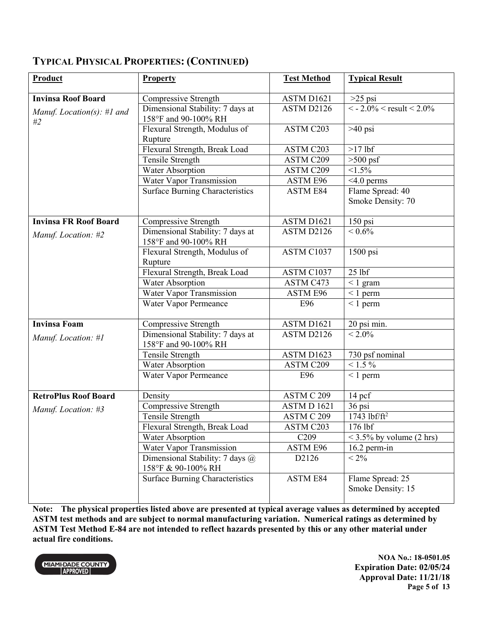| Product                          | <b>Property</b>                                              | <b>Test Method</b>     | <b>Typical Result</b>                   |
|----------------------------------|--------------------------------------------------------------|------------------------|-----------------------------------------|
| <b>Invinsa Roof Board</b>        | Compressive Strength                                         | ASTM D1621             | $>25$ psi                               |
| Manuf. Location(s): #1 and<br>#2 | Dimensional Stability: 7 days at<br>158°F and 90-100% RH     | ASTM D2126             | $\leq$ - 2.0% $\leq$ result $\leq$ 2.0% |
|                                  | Flexural Strength, Modulus of<br>Rupture                     | ASTM C203              | $>40$ psi                               |
|                                  | Flexural Strength, Break Load                                | ASTM C203              | $>17$ lbf                               |
|                                  | Tensile Strength                                             | <b>ASTM C209</b>       | $>500$ psf                              |
|                                  | <b>Water Absorption</b>                                      | <b>ASTM C209</b>       | $1.5\%$                                 |
|                                  | Water Vapor Transmission                                     | ASTM E96               | $<$ 4.0 perms                           |
|                                  | <b>Surface Burning Characteristics</b>                       | <b>ASTM E84</b>        | Flame Spread: 40<br>Smoke Density: 70   |
| <b>Invinsa FR Roof Board</b>     | Compressive Strength                                         | ASTM D <sub>1621</sub> | 150 psi                                 |
| Manuf. Location: #2              | Dimensional Stability: 7 days at<br>158°F and 90-100% RH     | ASTM D2126             | $< 0.6\sqrt{0}$                         |
|                                  | Flexural Strength, Modulus of<br>Rupture                     | ASTM C1037             | $1500$ psi                              |
|                                  | Flexural Strength, Break Load                                | ASTM C1037             | $25$ lbf                                |
|                                  | Water Absorption                                             | ASTM C473              | $< 1$ gram                              |
|                                  | Water Vapor Transmission                                     | ASTM E96               | $\leq 1$ perm                           |
|                                  | Water Vapor Permeance                                        | E96                    | $\leq 1$ perm                           |
| <b>Invinsa Foam</b>              | Compressive Strength                                         | ASTM D1621             | 20 psi min.                             |
| Manuf. Location: #1              | Dimensional Stability: 7 days at<br>158°F and 90-100% RH     | ASTM D2126             | $< 2.0\%$                               |
|                                  | Tensile Strength                                             | ASTM D1623             | 730 psf nominal                         |
|                                  | <b>Water Absorption</b>                                      | ASTM C209              | $< 1.5 \%$                              |
|                                  | Water Vapor Permeance                                        | E96                    | $\leq 1$ perm                           |
| <b>RetroPlus Roof Board</b>      | Density                                                      | ASTM C 209             | 14 pcf                                  |
| Manuf. Location: #3              | Compressive Strength                                         | ASTM D 1621            | 36 psi                                  |
|                                  | Tensile Strength                                             | ASTM C 209             | $1743$ lbf/ft <sup>2</sup>              |
|                                  | Flexural Strength, Break Load                                | ASTM C203              | $176$ lbf                               |
|                                  | Water Absorption                                             | C <sub>209</sub>       | $<$ 3.5% by volume (2 hrs)              |
|                                  | Water Vapor Transmission                                     | ASTM E96               | $16.2$ perm-in                          |
|                                  | Dimensional Stability: 7 days $\omega$<br>158°F & 90-100% RH | D2126                  | $< 2\%$                                 |
|                                  | <b>Surface Burning Characteristics</b>                       | <b>ASTM E84</b>        | Flame Spread: 25<br>Smoke Density: 15   |

**Note: The physical properties listed above are presented at typical average values as determined by accepted ASTM test methods and are subject to normal manufacturing variation. Numerical ratings as determined by ASTM Test Method E-84 are not intended to reflect hazards presented by this or any other material under actual fire conditions.**



**NOA No.: 18-0501.05 Expiration Date: 02/05/24 Approval Date: 11/21/18 Page 5 of 13**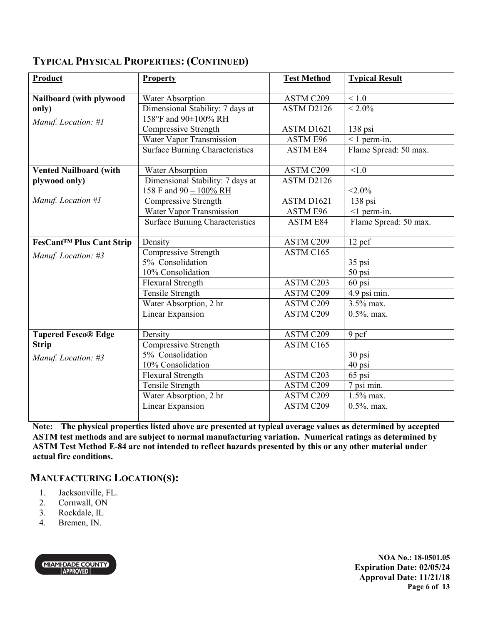| Product                         | <b>Property</b>                        | <b>Test Method</b> | <b>Typical Result</b>   |
|---------------------------------|----------------------------------------|--------------------|-------------------------|
| Nailboard (with plywood         | Water Absorption                       | ASTM C209          | $<1.0$                  |
| only)                           | Dimensional Stability: 7 days at       | ASTM D2126         | $< 2.0\%$               |
| Manuf. Location: #1             | 158°F and 90±100% RH                   |                    |                         |
|                                 | Compressive Strength                   | ASTM D1621         | 138 psi                 |
|                                 | Water Vapor Transmission               | <b>ASTM E96</b>    | $<$ 1 perm-in.          |
|                                 | <b>Surface Burning Characteristics</b> | <b>ASTM E84</b>    | Flame Spread: 50 max.   |
| <b>Vented Nailboard (with</b>   | Water Absorption                       | ASTM C209          | < 1.0                   |
| plywood only)                   | Dimensional Stability: 7 days at       | ASTM D2126         |                         |
|                                 | 158 F and $90 - 100\%$ RH              |                    | $< 2.0\%$               |
| Manuf. Location #1              | Compressive Strength                   | ASTM D1621         | 138 psi                 |
|                                 | Water Vapor Transmission               | ASTM E96           | $<$ 1 perm-in.          |
|                                 | <b>Surface Burning Characteristics</b> | <b>ASTM E84</b>    | Flame Spread: 50 max.   |
| <b>FesCant™ Plus Cant Strip</b> | Density                                | ASTM C209          | 12 pcf                  |
| Manuf. Location: #3             | Compressive Strength                   | ASTM C165          |                         |
|                                 | 5% Consolidation                       |                    | 35 psi                  |
|                                 | 10% Consolidation                      |                    | 50 psi                  |
|                                 | Flexural Strength                      | ASTM C203          | 60 psi                  |
|                                 | Tensile Strength                       | ASTM C209          | 4.9 psi min.            |
|                                 | Water Absorption, 2 hr                 | ASTM C209          | 3.5% max.               |
|                                 | Linear Expansion                       | ASTM C209          | $0.5\%$ . max.          |
| <b>Tapered Fesco® Edge</b>      | Density                                | ASTM C209          | 9 pcf                   |
| <b>Strip</b>                    | <b>Compressive Strength</b>            | ASTM C165          |                         |
| Manuf. Location: #3             | 5% Consolidation                       |                    | 30 psi                  |
|                                 | 10% Consolidation                      |                    | 40 psi                  |
|                                 | Flexural Strength                      | ASTM C203          | 65 psi                  |
|                                 | Tensile Strength                       | ASTM C209          | 7 psi min.              |
|                                 | Water Absorption, 2 hr                 | ASTM C209          | $\overline{1.5\%}$ max. |
|                                 | Linear Expansion                       | ASTM C209          | $0.5\%$ . max.          |

**Note: The physical properties listed above are presented at typical average values as determined by accepted ASTM test methods and are subject to normal manufacturing variation. Numerical ratings as determined by ASTM Test Method E-84 are not intended to reflect hazards presented by this or any other material under actual fire conditions.**

### **MANUFACTURING LOCATION(S):**

- 1. Jacksonville, FL.
- 2. Cornwall, ON
- 3. Rockdale, IL
- 4. Bremen, IN.



**NOA No.: 18-0501.05 Expiration Date: 02/05/24 Approval Date: 11/21/18 Page 6 of 13**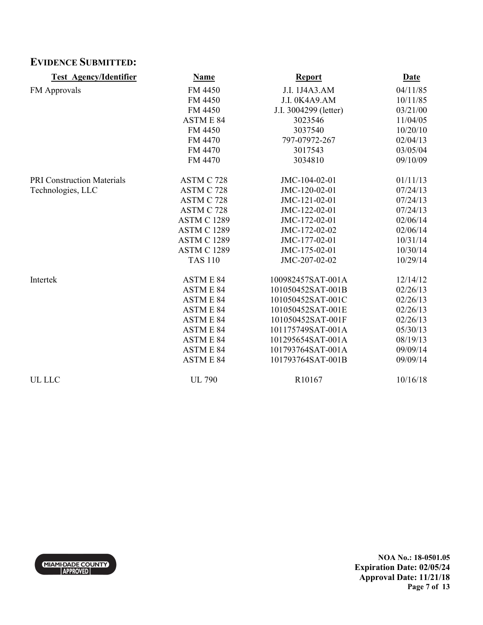## **EVIDENCE SUBMITTED:**

| <b>Test Agency/Identifier</b>     | <b>Name</b>        | <b>Report</b>         | <b>Date</b> |
|-----------------------------------|--------------------|-----------------------|-------------|
| FM Approvals                      | FM 4450            | J.I. 1J4A3.AM         | 04/11/85    |
|                                   | FM 4450            | J.I. 0K4A9.AM         | 10/11/85    |
|                                   | FM 4450            | J.I. 3004299 (letter) | 03/21/00    |
|                                   | <b>ASTM E 84</b>   | 3023546               | 11/04/05    |
|                                   | FM 4450            | 3037540               | 10/20/10    |
|                                   | FM 4470            | 797-07972-267         | 02/04/13    |
|                                   | FM 4470            | 3017543               | 03/05/04    |
|                                   | FM 4470            | 3034810               | 09/10/09    |
| <b>PRI Construction Materials</b> | ASTM C 728         | JMC-104-02-01         | 01/11/13    |
| Technologies, LLC                 | ASTM C 728         | JMC-120-02-01         | 07/24/13    |
|                                   | ASTM C 728         | JMC-121-02-01         | 07/24/13    |
|                                   | ASTM C 728         | JMC-122-02-01         | 07/24/13    |
|                                   | <b>ASTM C 1289</b> | JMC-172-02-01         | 02/06/14    |
|                                   | <b>ASTM C 1289</b> | JMC-172-02-02         | 02/06/14    |
|                                   | <b>ASTM C 1289</b> | JMC-177-02-01         | 10/31/14    |
|                                   | <b>ASTM C 1289</b> | JMC-175-02-01         | 10/30/14    |
|                                   | <b>TAS 110</b>     | JMC-207-02-02         | 10/29/14    |
| Intertek                          | <b>ASTM E 84</b>   | 100982457SAT-001A     | 12/14/12    |
|                                   | <b>ASTME 84</b>    | 101050452SAT-001B     | 02/26/13    |
|                                   | <b>ASTME 84</b>    | 101050452SAT-001C     | 02/26/13    |
|                                   | <b>ASTME 84</b>    | 101050452SAT-001E     | 02/26/13    |
|                                   | <b>ASTME 84</b>    | 101050452SAT-001F     | 02/26/13    |
|                                   | <b>ASTM E 84</b>   | 101175749SAT-001A     | 05/30/13    |
|                                   | <b>ASTM E 84</b>   | 101295654SAT-001A     | 08/19/13    |
|                                   | <b>ASTM E 84</b>   | 101793764SAT-001A     | 09/09/14    |
|                                   | <b>ASTME 84</b>    | 101793764SAT-001B     | 09/09/14    |
| UL LLC                            | <b>UL 790</b>      | R10167                | 10/16/18    |

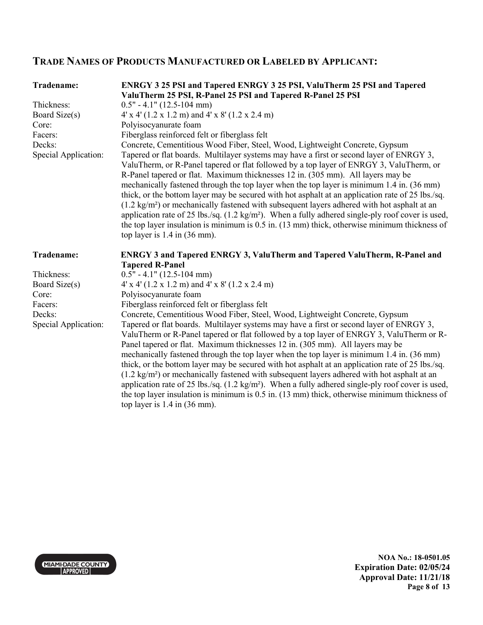## **TRADE NAMES OF PRODUCTS MANUFACTURED OR LABELED BY APPLICANT:**

| Tradename:                     | <b>ENRGY 3 25 PSI and Tapered ENRGY 3 25 PSI, ValuTherm 25 PSI and Tapered</b>                                                                                                                                                                                                                                                                                                                                                                                                                                                                                                                                                                                                                                                                                                                                                                                                                                                   |
|--------------------------------|----------------------------------------------------------------------------------------------------------------------------------------------------------------------------------------------------------------------------------------------------------------------------------------------------------------------------------------------------------------------------------------------------------------------------------------------------------------------------------------------------------------------------------------------------------------------------------------------------------------------------------------------------------------------------------------------------------------------------------------------------------------------------------------------------------------------------------------------------------------------------------------------------------------------------------|
|                                | ValuTherm 25 PSI, R-Panel 25 PSI and Tapered R-Panel 25 PSI                                                                                                                                                                                                                                                                                                                                                                                                                                                                                                                                                                                                                                                                                                                                                                                                                                                                      |
| Thickness:                     | $0.5" - 4.1" (12.5-104 mm)$                                                                                                                                                                                                                                                                                                                                                                                                                                                                                                                                                                                                                                                                                                                                                                                                                                                                                                      |
| Board Size(s)                  | $4'$ x 4' (1.2 x 1.2 m) and 4' x 8' (1.2 x 2.4 m)                                                                                                                                                                                                                                                                                                                                                                                                                                                                                                                                                                                                                                                                                                                                                                                                                                                                                |
| Core:                          | Polyisocyanurate foam                                                                                                                                                                                                                                                                                                                                                                                                                                                                                                                                                                                                                                                                                                                                                                                                                                                                                                            |
| Facers:                        | Fiberglass reinforced felt or fiberglass felt                                                                                                                                                                                                                                                                                                                                                                                                                                                                                                                                                                                                                                                                                                                                                                                                                                                                                    |
| Decks:<br>Special Application: | Concrete, Cementitious Wood Fiber, Steel, Wood, Lightweight Concrete, Gypsum<br>Tapered or flat boards. Multilayer systems may have a first or second layer of ENRGY 3,<br>ValuTherm, or R-Panel tapered or flat followed by a top layer of ENRGY 3, ValuTherm, or<br>R-Panel tapered or flat. Maximum thicknesses 12 in. (305 mm). All layers may be<br>mechanically fastened through the top layer when the top layer is minimum 1.4 in. (36 mm)<br>thick, or the bottom layer may be secured with hot asphalt at an application rate of 25 lbs./sq.<br>$(1.2 \text{ kg/m}^2)$ or mechanically fastened with subsequent layers adhered with hot asphalt at an<br>application rate of 25 lbs./sq. (1.2 kg/m <sup>2</sup> ). When a fully adhered single-ply roof cover is used,<br>the top layer insulation is minimum is $0.5$ in. $(13 \text{ mm})$ thick, otherwise minimum thickness of<br>top layer is $1.4$ in $(36$ mm). |
|                                |                                                                                                                                                                                                                                                                                                                                                                                                                                                                                                                                                                                                                                                                                                                                                                                                                                                                                                                                  |
| Tradename:                     | <b>ENRGY 3 and Tapered ENRGY 3, ValuTherm and Tapered ValuTherm, R-Panel and</b>                                                                                                                                                                                                                                                                                                                                                                                                                                                                                                                                                                                                                                                                                                                                                                                                                                                 |
|                                | <b>Tapered R-Panel</b>                                                                                                                                                                                                                                                                                                                                                                                                                                                                                                                                                                                                                                                                                                                                                                                                                                                                                                           |
| Thickness:                     | $0.5" - 4.1" (12.5-104 mm)$                                                                                                                                                                                                                                                                                                                                                                                                                                                                                                                                                                                                                                                                                                                                                                                                                                                                                                      |
| Board Size(s)                  | $4' \times 4'$ (1.2 x 1.2 m) and $4' \times 8'$ (1.2 x 2.4 m)                                                                                                                                                                                                                                                                                                                                                                                                                                                                                                                                                                                                                                                                                                                                                                                                                                                                    |
| Core:<br>Facers:               | Polyisocyanurate foam<br>Fiberglass reinforced felt or fiberglass felt                                                                                                                                                                                                                                                                                                                                                                                                                                                                                                                                                                                                                                                                                                                                                                                                                                                           |

MIAMI-DADE COUNTY

**NOA No.: 18-0501.05 Expiration Date: 02/05/24 Approval Date: 11/21/18 Page 8 of 13**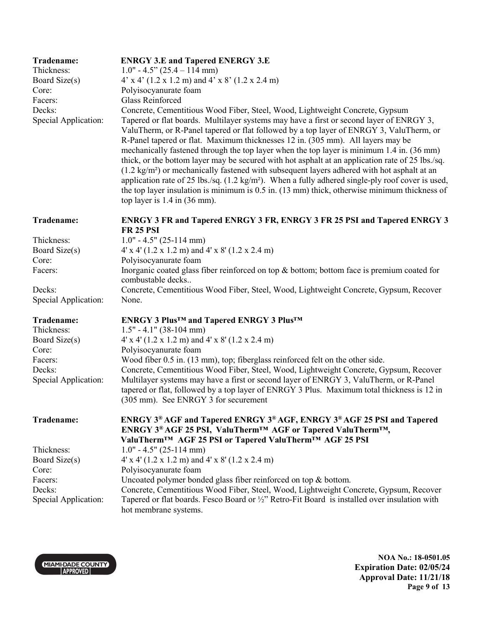| Tradename:<br>Thickness:<br>Board Size(s)<br>Core:<br>Facers:<br>Decks:<br>Special Application: | <b>ENRGY 3.E and Tapered ENERGY 3.E</b><br>$1.0" - 4.5" (25.4 - 114 mm)$<br>$4'$ x $4'$ (1.2 x 1.2 m) and $4'$ x $8'$ (1.2 x 2.4 m)<br>Polyisocyanurate foam<br><b>Glass Reinforced</b><br>Concrete, Cementitious Wood Fiber, Steel, Wood, Lightweight Concrete, Gypsum<br>Tapered or flat boards. Multilayer systems may have a first or second layer of ENRGY 3,<br>ValuTherm, or R-Panel tapered or flat followed by a top layer of ENRGY 3, ValuTherm, or<br>R-Panel tapered or flat. Maximum thicknesses 12 in. (305 mm). All layers may be<br>mechanically fastened through the top layer when the top layer is minimum 1.4 in. (36 mm)<br>thick, or the bottom layer may be secured with hot asphalt at an application rate of 25 lbs./sq.<br>$(1.2 \text{ kg/m}^2)$ or mechanically fastened with subsequent layers adhered with hot asphalt at an<br>application rate of 25 lbs./sq. $(1.2 \text{ kg/m}^2)$ . When a fully adhered single-ply roof cover is used,<br>the top layer insulation is minimum is 0.5 in. (13 mm) thick, otherwise minimum thickness of<br>top layer is $1.4$ in $(36 \text{ mm})$ . |
|-------------------------------------------------------------------------------------------------|-------------------------------------------------------------------------------------------------------------------------------------------------------------------------------------------------------------------------------------------------------------------------------------------------------------------------------------------------------------------------------------------------------------------------------------------------------------------------------------------------------------------------------------------------------------------------------------------------------------------------------------------------------------------------------------------------------------------------------------------------------------------------------------------------------------------------------------------------------------------------------------------------------------------------------------------------------------------------------------------------------------------------------------------------------------------------------------------------------------------------|
| Tradename:                                                                                      | <b>ENRGY 3 FR and Tapered ENRGY 3 FR, ENRGY 3 FR 25 PSI and Tapered ENRGY 3</b><br><b>FR 25 PSI</b>                                                                                                                                                                                                                                                                                                                                                                                                                                                                                                                                                                                                                                                                                                                                                                                                                                                                                                                                                                                                                     |
| Thickness:                                                                                      | $1.0" - 4.5" (25-114 mm)$                                                                                                                                                                                                                                                                                                                                                                                                                                                                                                                                                                                                                                                                                                                                                                                                                                                                                                                                                                                                                                                                                               |
| Board Size(s)                                                                                   | $4' \times 4'$ (1.2 x 1.2 m) and $4' \times 8'$ (1.2 x 2.4 m)                                                                                                                                                                                                                                                                                                                                                                                                                                                                                                                                                                                                                                                                                                                                                                                                                                                                                                                                                                                                                                                           |
| Core:                                                                                           | Polyisocyanurate foam                                                                                                                                                                                                                                                                                                                                                                                                                                                                                                                                                                                                                                                                                                                                                                                                                                                                                                                                                                                                                                                                                                   |
| Facers:                                                                                         | Inorganic coated glass fiber reinforced on top $\&$ bottom; bottom face is premium coated for<br>combustable decks                                                                                                                                                                                                                                                                                                                                                                                                                                                                                                                                                                                                                                                                                                                                                                                                                                                                                                                                                                                                      |
| Decks:<br>Special Application:                                                                  | Concrete, Cementitious Wood Fiber, Steel, Wood, Lightweight Concrete, Gypsum, Recover<br>None.                                                                                                                                                                                                                                                                                                                                                                                                                                                                                                                                                                                                                                                                                                                                                                                                                                                                                                                                                                                                                          |
| Tradename:<br>Thickness:                                                                        | <b>ENRGY 3 Plus<sup>™</sup> and Tapered ENRGY 3 Plus™</b><br>$1.5" - 4.1" (38-104 mm)$                                                                                                                                                                                                                                                                                                                                                                                                                                                                                                                                                                                                                                                                                                                                                                                                                                                                                                                                                                                                                                  |
| Board Size(s)<br>Core:                                                                          | $4' \times 4'$ (1.2 x 1.2 m) and $4' \times 8'$ (1.2 x 2.4 m)<br>Polyisocyanurate foam                                                                                                                                                                                                                                                                                                                                                                                                                                                                                                                                                                                                                                                                                                                                                                                                                                                                                                                                                                                                                                  |
| Facers:<br>Decks:<br>Special Application:                                                       | Wood fiber 0.5 in. (13 mm), top; fiberglass reinforced felt on the other side.<br>Concrete, Cementitious Wood Fiber, Steel, Wood, Lightweight Concrete, Gypsum, Recover<br>Multilayer systems may have a first or second layer of ENRGY 3, ValuTherm, or R-Panel<br>tapered or flat, followed by a top layer of ENRGY 3 Plus. Maximum total thickness is 12 in<br>(305 mm). See ENRGY 3 for securement                                                                                                                                                                                                                                                                                                                                                                                                                                                                                                                                                                                                                                                                                                                  |
| Tradename:                                                                                      | ENRGY 3 <sup>®</sup> AGF and Tapered ENRGY 3 <sup>®</sup> AGF, ENRGY 3 <sup>®</sup> AGF 25 PSI and Tapered<br>ENRGY 3 <sup>®</sup> AGF 25 PSI, ValuTherm <sup>™</sup> AGF or Tapered ValuTherm™,<br>ValuTherm™ AGF 25 PSI or Tapered ValuTherm™ AGF 25 PSI                                                                                                                                                                                                                                                                                                                                                                                                                                                                                                                                                                                                                                                                                                                                                                                                                                                              |
| Thickness:                                                                                      | $1.0" - 4.5" (25-114 mm)$                                                                                                                                                                                                                                                                                                                                                                                                                                                                                                                                                                                                                                                                                                                                                                                                                                                                                                                                                                                                                                                                                               |
| Board Size(s)                                                                                   | $4' \times 4'$ (1.2 x 1.2 m) and $4' \times 8'$ (1.2 x 2.4 m)                                                                                                                                                                                                                                                                                                                                                                                                                                                                                                                                                                                                                                                                                                                                                                                                                                                                                                                                                                                                                                                           |
| Core:                                                                                           | Polyisocyanurate foam                                                                                                                                                                                                                                                                                                                                                                                                                                                                                                                                                                                                                                                                                                                                                                                                                                                                                                                                                                                                                                                                                                   |
| Facers:                                                                                         | Uncoated polymer bonded glass fiber reinforced on top & bottom.                                                                                                                                                                                                                                                                                                                                                                                                                                                                                                                                                                                                                                                                                                                                                                                                                                                                                                                                                                                                                                                         |
| Decks:                                                                                          | Concrete, Cementitious Wood Fiber, Steel, Wood, Lightweight Concrete, Gypsum, Recover                                                                                                                                                                                                                                                                                                                                                                                                                                                                                                                                                                                                                                                                                                                                                                                                                                                                                                                                                                                                                                   |
| Special Application:                                                                            | Tapered or flat boards. Fesco Board or 1/2" Retro-Fit Board is installed over insulation with<br>hot membrane systems.                                                                                                                                                                                                                                                                                                                                                                                                                                                                                                                                                                                                                                                                                                                                                                                                                                                                                                                                                                                                  |



**NOA No.: 18-0501.05 Expiration Date: 02/05/24 Approval Date: 11/21/18 Page 9 of 13**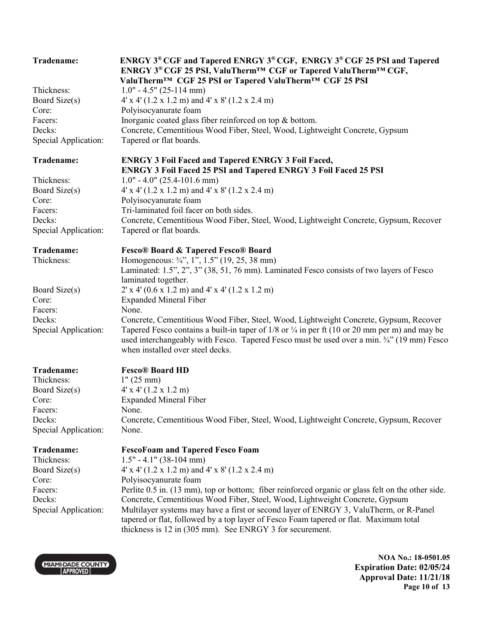| Tradename:                                                                                      | ENRGY 3 <sup>®</sup> CGF and Tapered ENRGY 3 <sup>®</sup> CGF, ENRGY 3 <sup>®</sup> CGF 25 PSI and Tapered<br>ENRGY 3 <sup>®</sup> CGF 25 PSI, ValuTherm <sup>™</sup> CGF or Tapered ValuTherm™ CGF,<br>ValuTherm™ CGF 25 PSI or Tapered ValuTherm™ CGF 25 PSI                                                                                                                                                                                                                                                                                                                        |
|-------------------------------------------------------------------------------------------------|---------------------------------------------------------------------------------------------------------------------------------------------------------------------------------------------------------------------------------------------------------------------------------------------------------------------------------------------------------------------------------------------------------------------------------------------------------------------------------------------------------------------------------------------------------------------------------------|
| Thickness:<br>Board Size(s)<br>Core:<br>Facers:<br>Decks:<br>Special Application:               | $1.0" - 4.5" (25-114 mm)$<br>$4'$ x 4' (1.2 x 1.2 m) and 4' x 8' (1.2 x 2.4 m)<br>Polyisocyanurate foam<br>Inorganic coated glass fiber reinforced on top $\&$ bottom.<br>Concrete, Cementitious Wood Fiber, Steel, Wood, Lightweight Concrete, Gypsum<br>Tapered or flat boards.                                                                                                                                                                                                                                                                                                     |
| Tradename:                                                                                      | <b>ENRGY 3 Foil Faced and Tapered ENRGY 3 Foil Faced,</b><br><b>ENRGY 3 Foil Faced 25 PSI and Tapered ENRGY 3 Foil Faced 25 PSI</b>                                                                                                                                                                                                                                                                                                                                                                                                                                                   |
| Thickness:<br>Board Size(s)<br>Core:<br>Facers:<br>Decks:<br>Special Application:               | $1.0" - 4.0" (25.4-101.6 mm)$<br>$4' \times 4'$ (1.2 x 1.2 m) and $4' \times 8'$ (1.2 x 2.4 m)<br>Polyisocyanurate foam<br>Tri-laminated foil facer on both sides.<br>Concrete, Cementitious Wood Fiber, Steel, Wood, Lightweight Concrete, Gypsum, Recover<br>Tapered or flat boards.                                                                                                                                                                                                                                                                                                |
| Tradename:<br>Thickness:                                                                        | <b>Fesco® Board &amp; Tapered Fesco® Board</b><br>Homogeneous: 3/4", 1", 1.5" (19, 25, 38 mm)<br>Laminated: 1.5", 2", 3" (38, 51, 76 mm). Laminated Fesco consists of two layers of Fesco<br>laminated together.                                                                                                                                                                                                                                                                                                                                                                      |
| Board Size(s)<br>Core:<br>Facers:                                                               | $2'$ x 4' (0.6 x 1.2 m) and 4' x 4' (1.2 x 1.2 m)<br><b>Expanded Mineral Fiber</b><br>None.                                                                                                                                                                                                                                                                                                                                                                                                                                                                                           |
| Decks:<br>Special Application:                                                                  | Concrete, Cementitious Wood Fiber, Steel, Wood, Lightweight Concrete, Gypsum, Recover<br>Tapered Fesco contains a built-in taper of $1/8$ or $\frac{1}{4}$ in per ft (10 or 20 mm per m) and may be<br>used interchangeably with Fesco. Tapered Fesco must be used over a min. 3/4" (19 mm) Fesco<br>when installed over steel decks.                                                                                                                                                                                                                                                 |
| Tradename:<br>Thickness:<br>Board Size(s)<br>Core:<br>Facers:<br>Decks:<br>Special Application: | <b>Fesco® Board HD</b><br>1" (25 mm)<br>$4'$ x $4'$ (1.2 x 1.2 m)<br><b>Expanded Mineral Fiber</b><br>None.<br>Concrete, Cementitious Wood Fiber, Steel, Wood, Lightweight Concrete, Gypsum, Recover<br>None.                                                                                                                                                                                                                                                                                                                                                                         |
| Tradename:<br>Thickness:<br>Board Size(s)<br>Core:<br>Facers:<br>Decks:<br>Special Application: | <b>FescoFoam and Tapered Fesco Foam</b><br>$1.5" - 4.1" (38-104 mm)$<br>$4'$ x 4' (1.2 x 1.2 m) and 4' x 8' (1.2 x 2.4 m)<br>Polyisocyanurate foam<br>Perlite 0.5 in. (13 mm), top or bottom; fiber reinforced organic or glass felt on the other side.<br>Concrete, Cementitious Wood Fiber, Steel, Wood, Lightweight Concrete, Gypsum<br>Multilayer systems may have a first or second layer of ENRGY 3, ValuTherm, or R-Panel<br>tapered or flat, followed by a top layer of Fesco Foam tapered or flat. Maximum total<br>thickness is 12 in (305 mm). See ENRGY 3 for securement. |

MIAMI-DADE COUNTY

**NOA No.: 18-0501.05 Expiration Date: 02/05/24 Approval Date: 11/21/18 Page 10 of 13**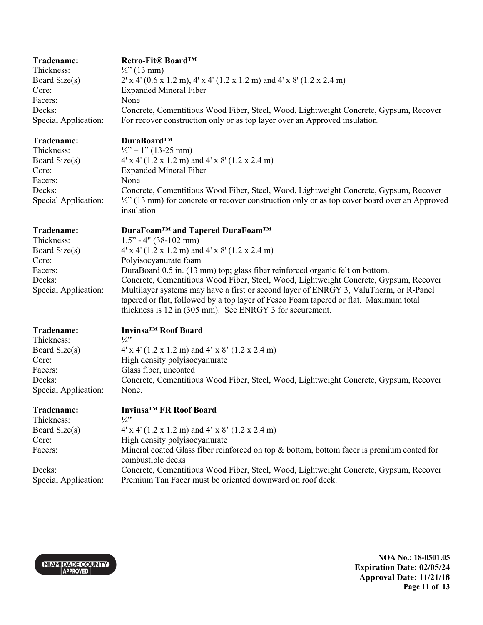| Tradename:           | Retro-Fit <sup>®</sup> Board <sup>TM</sup>                                            |
|----------------------|---------------------------------------------------------------------------------------|
| Thickness:           | $\frac{1}{2}$ " (13 mm)                                                               |
| Board Size(s)        | $2'$ x 4' (0.6 x 1.2 m), 4' x 4' (1.2 x 1.2 m) and 4' x 8' (1.2 x 2.4 m)              |
| Core:                | <b>Expanded Mineral Fiber</b>                                                         |
| Facers:              | None                                                                                  |
| Decks:               | Concrete, Cementitious Wood Fiber, Steel, Wood, Lightweight Concrete, Gypsum, Recover |
| Special Application: | For recover construction only or as top layer over an Approved insulation.            |

Facers: None

#### **Tradename: DuraBoard™**

Thickness:  $\frac{1}{2}$  – 1" (13-25 mm) Board Size(s) 4' x 4' (1.2 x 1.2 m) and 4' x 8' (1.2 x 2.4 m) Core: Expanded Mineral Fiber Decks: Concrete, Cementitious Wood Fiber, Steel, Wood, Lightweight Concrete, Gypsum, Recover Special Application: <sup>1</sup>/<sub>2</sub>" (13 mm) for concrete or recover construction only or as top cover board over an Approved insulation

**Tradename: DuraFoam™ and Tapered DuraFoam™** Thickness: 1.5" - 4" (38-102 mm) Board Size(s)  $4' \times 4' (1.2 \times 1.2 \text{ m})$  and  $4' \times 8' (1.2 \times 2.4 \text{ m})$ Core: Polyisocyanurate foam Facers: DuraBoard 0.5 in. (13 mm) top; glass fiber reinforced organic felt on bottom. Decks: Concrete, Cementitious Wood Fiber, Steel, Wood, Lightweight Concrete, Gypsum, Recover Special Application: Multilayer systems may have a first or second layer of ENRGY 3, ValuTherm, or R-Panel tapered or flat, followed by a top layer of Fesco Foam tapered or flat. Maximum total thickness is 12 in (305 mm). See ENRGY 3 for securement.

Thickness:

**Tradename: Invinsa™ Roof Board**  Board Size(s)  $4' \times 4' (1.2 \times 1.2 \text{ m})$  and  $4' \times 8' (1.2 \times 2.4 \text{ m})$ Core: High density polyisocyanurate Facers: Glass fiber, uncoated Decks: Concrete, Cementitious Wood Fiber, Steel, Wood, Lightweight Concrete, Gypsum, Recover Special Application: None.

| Tradename:                     | Invinsa <sup>™</sup> FR Roof Board                                                                                                                 |
|--------------------------------|----------------------------------------------------------------------------------------------------------------------------------------------------|
| Thickness:                     | $\frac{1}{4}$                                                                                                                                      |
| Board Size(s)                  | $4' \times 4'$ (1.2 x 1.2 m) and 4' x 8' (1.2 x 2.4 m)                                                                                             |
| Core:                          | High density polyisocyanurate                                                                                                                      |
| Facers:                        | Mineral coated Glass fiber reinforced on top $\&$ bottom, bottom facer is premium coated for<br>combustible decks                                  |
| Decks:<br>Special Application: | Concrete, Cementitious Wood Fiber, Steel, Wood, Lightweight Concrete, Gypsum, Recover<br>Premium Tan Facer must be oriented downward on roof deck. |



**NOA No.: 18-0501.05 Expiration Date: 02/05/24 Approval Date: 11/21/18 Page 11 of 13**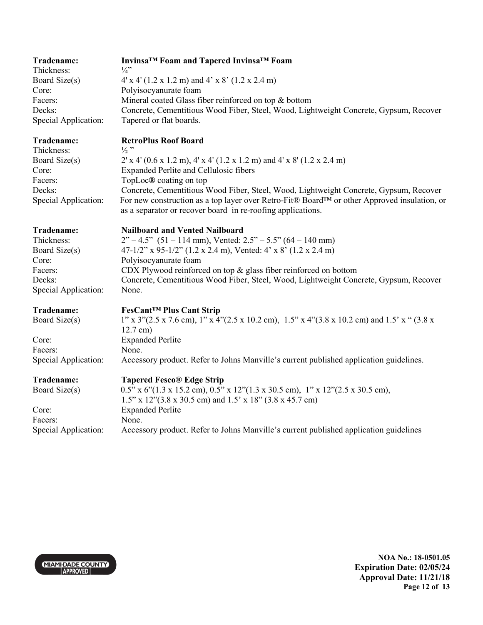| Tradename:<br>Thickness:<br>Board Size(s)<br>Core:<br>Facers:<br>Decks:<br>Special Application: | Invinsa <sup>™</sup> Foam and Tapered Invinsa™ Foam<br>$\frac{1}{4}$ "<br>$4' \times 4'$ (1.2 x 1.2 m) and 4' x 8' (1.2 x 2.4 m)<br>Polyisocyanurate foam<br>Mineral coated Glass fiber reinforced on top & bottom<br>Concrete, Cementitious Wood Fiber, Steel, Wood, Lightweight Concrete, Gypsum, Recover<br>Tapered or flat boards.                                                                                                                       |
|-------------------------------------------------------------------------------------------------|--------------------------------------------------------------------------------------------------------------------------------------------------------------------------------------------------------------------------------------------------------------------------------------------------------------------------------------------------------------------------------------------------------------------------------------------------------------|
| Tradename:<br>Thickness:<br>Board Size(s)<br>Core:<br>Facers:<br>Decks:<br>Special Application: | <b>RetroPlus Roof Board</b><br>$\frac{1}{2}$ "<br>$2'$ x 4' (0.6 x 1.2 m), 4' x 4' (1.2 x 1.2 m) and 4' x 8' (1.2 x 2.4 m)<br><b>Expanded Perlite and Cellulosic fibers</b><br>TopLoc® coating on top<br>Concrete, Cementitious Wood Fiber, Steel, Wood, Lightweight Concrete, Gypsum, Recover<br>For new construction as a top layer over Retro-Fit® Board™ or other Approved insulation, or<br>as a separator or recover board in re-roofing applications. |
| Tradename:<br>Thickness:<br>Board Size(s)<br>Core:<br>Facers:<br>Decks:<br>Special Application: | <b>Nailboard and Vented Nailboard</b><br>$2^{\prime\prime} - 4.5^{\prime\prime}$ (51 – 114 mm), Vented: $2.5^{\prime\prime} - 5.5^{\prime\prime}$ (64 – 140 mm)<br>47-1/2" x 95-1/2" (1.2 x 2.4 m), Vented: 4' x 8' (1.2 x 2.4 m)<br>Polyisocyanurate foam<br>CDX Plywood reinforced on top $\&$ glass fiber reinforced on bottom<br>Concrete, Cementitious Wood Fiber, Steel, Wood, Lightweight Concrete, Gypsum, Recover<br>None.                          |
| Tradename:<br>Board Size(s)<br>Core:<br>Facers:<br>Special Application:                         | <b>FesCant™ Plus Cant Strip</b><br>$1''$ x 3"(2.5 x 7.6 cm), $1''$ x 4"(2.5 x 10.2 cm), $1.5''$ x 4"(3.8 x 10.2 cm) and 1.5' x " (3.8 x<br>$12.7$ cm)<br><b>Expanded Perlite</b><br>None.<br>Accessory product. Refer to Johns Manville's current published application guidelines.                                                                                                                                                                          |
| Tradename:<br>Board Size(s)<br>Core:<br>Facers:<br>Special Application:                         | <b>Tapered Fesco® Edge Strip</b><br>$0.5$ " x $6$ " $(1.3 \times 15.2 \text{ cm})$ , $0.5$ " x $12$ " $(1.3 \times 30.5 \text{ cm})$ , $1$ " x $12$ " $(2.5 \times 30.5 \text{ cm})$ ,<br>1.5" x 12"(3.8 x 30.5 cm) and 1.5' x 18" (3.8 x 45.7 cm)<br><b>Expanded Perlite</b><br>None.<br>Accessory product. Refer to Johns Manville's current published application guidelines                                                                              |



**NOA No.: 18-0501.05 Expiration Date: 02/05/24 Approval Date: 11/21/18 Page 12 of 13**